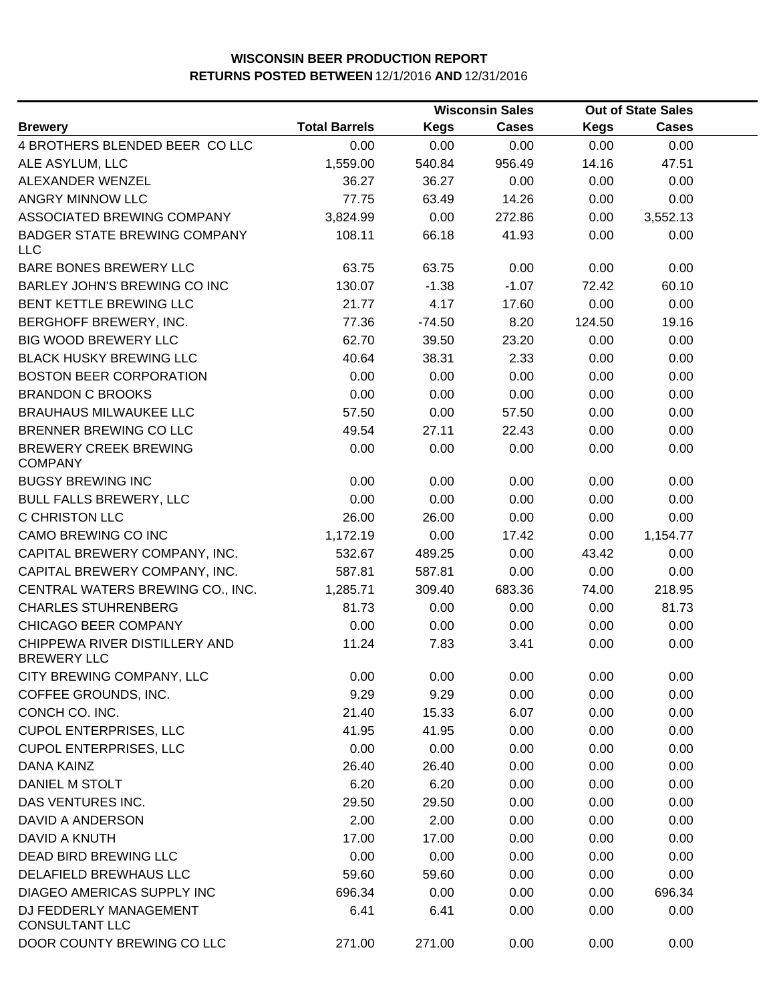|                                                     |                      |             | <b>Wisconsin Sales</b> |             | <b>Out of State Sales</b> |  |
|-----------------------------------------------------|----------------------|-------------|------------------------|-------------|---------------------------|--|
| <b>Brewery</b>                                      | <b>Total Barrels</b> | <b>Kegs</b> | <b>Cases</b>           | <b>Kegs</b> | <b>Cases</b>              |  |
| 4 BROTHERS BLENDED BEER COLLC                       | 0.00                 | 0.00        | 0.00                   | 0.00        | 0.00                      |  |
| ALE ASYLUM, LLC                                     | 1,559.00             | 540.84      | 956.49                 | 14.16       | 47.51                     |  |
| ALEXANDER WENZEL                                    | 36.27                | 36.27       | 0.00                   | 0.00        | 0.00                      |  |
| ANGRY MINNOW LLC                                    | 77.75                | 63.49       | 14.26                  | 0.00        | 0.00                      |  |
| ASSOCIATED BREWING COMPANY                          | 3,824.99             | 0.00        | 272.86                 | 0.00        | 3,552.13                  |  |
| <b>BADGER STATE BREWING COMPANY</b><br><b>LLC</b>   | 108.11               | 66.18       | 41.93                  | 0.00        | 0.00                      |  |
| BARE BONES BREWERY LLC                              | 63.75                | 63.75       | 0.00                   | 0.00        | 0.00                      |  |
| BARLEY JOHN'S BREWING CO INC                        | 130.07               | $-1.38$     | $-1.07$                | 72.42       | 60.10                     |  |
| BENT KETTLE BREWING LLC                             | 21.77                | 4.17        | 17.60                  | 0.00        | 0.00                      |  |
| BERGHOFF BREWERY, INC.                              | 77.36                | $-74.50$    | 8.20                   | 124.50      | 19.16                     |  |
| <b>BIG WOOD BREWERY LLC</b>                         | 62.70                | 39.50       | 23.20                  | 0.00        | 0.00                      |  |
| <b>BLACK HUSKY BREWING LLC</b>                      | 40.64                | 38.31       | 2.33                   | 0.00        | 0.00                      |  |
| <b>BOSTON BEER CORPORATION</b>                      | 0.00                 | 0.00        | 0.00                   | 0.00        | 0.00                      |  |
| <b>BRANDON C BROOKS</b>                             | 0.00                 | 0.00        | 0.00                   | 0.00        | 0.00                      |  |
| <b>BRAUHAUS MILWAUKEE LLC</b>                       | 57.50                | 0.00        | 57.50                  | 0.00        | 0.00                      |  |
| <b>BRENNER BREWING CO LLC</b>                       | 49.54                | 27.11       | 22.43                  | 0.00        | 0.00                      |  |
| <b>BREWERY CREEK BREWING</b><br><b>COMPANY</b>      | 0.00                 | 0.00        | 0.00                   | 0.00        | 0.00                      |  |
| <b>BUGSY BREWING INC</b>                            | 0.00                 | 0.00        | 0.00                   | 0.00        | 0.00                      |  |
| <b>BULL FALLS BREWERY, LLC</b>                      | 0.00                 | 0.00        | 0.00                   | 0.00        | 0.00                      |  |
| C CHRISTON LLC                                      | 26.00                | 26.00       | 0.00                   | 0.00        | 0.00                      |  |
| CAMO BREWING CO INC                                 | 1,172.19             | 0.00        | 17.42                  | 0.00        | 1,154.77                  |  |
| CAPITAL BREWERY COMPANY, INC.                       | 532.67               | 489.25      | 0.00                   | 43.42       | 0.00                      |  |
| CAPITAL BREWERY COMPANY, INC.                       | 587.81               | 587.81      | 0.00                   | 0.00        | 0.00                      |  |
| CENTRAL WATERS BREWING CO., INC.                    | 1,285.71             | 309.40      | 683.36                 | 74.00       | 218.95                    |  |
| <b>CHARLES STUHRENBERG</b>                          | 81.73                | 0.00        | 0.00                   | 0.00        | 81.73                     |  |
| CHICAGO BEER COMPANY                                | 0.00                 | 0.00        | 0.00                   | 0.00        | 0.00                      |  |
| CHIPPEWA RIVER DISTILLERY AND<br><b>BREWERY LLC</b> | 11.24                | 7.83        | 3.41                   | 0.00        | 0.00                      |  |
| CITY BREWING COMPANY, LLC                           | 0.00                 | 0.00        | 0.00                   | 0.00        | 0.00                      |  |
| COFFEE GROUNDS, INC.                                | 9.29                 | 9.29        | 0.00                   | 0.00        | 0.00                      |  |
| CONCH CO. INC.                                      | 21.40                | 15.33       | 6.07                   | 0.00        | 0.00                      |  |
| <b>CUPOL ENTERPRISES, LLC</b>                       | 41.95                | 41.95       | 0.00                   | 0.00        | 0.00                      |  |
| <b>CUPOL ENTERPRISES, LLC</b>                       | 0.00                 | 0.00        | 0.00                   | 0.00        | 0.00                      |  |
| <b>DANA KAINZ</b>                                   | 26.40                | 26.40       | 0.00                   | 0.00        | 0.00                      |  |
| DANIEL M STOLT                                      | 6.20                 | 6.20        | 0.00                   | 0.00        | 0.00                      |  |
| DAS VENTURES INC.                                   | 29.50                | 29.50       | 0.00                   | 0.00        | 0.00                      |  |
| DAVID A ANDERSON                                    | 2.00                 | 2.00        | 0.00                   | 0.00        | 0.00                      |  |
| DAVID A KNUTH                                       | 17.00                | 17.00       | 0.00                   | 0.00        | 0.00                      |  |
| DEAD BIRD BREWING LLC                               | 0.00                 | 0.00        | 0.00                   | 0.00        | 0.00                      |  |
| DELAFIELD BREWHAUS LLC                              | 59.60                | 59.60       | 0.00                   | 0.00        | 0.00                      |  |
| DIAGEO AMERICAS SUPPLY INC                          | 696.34               | 0.00        | 0.00                   | 0.00        | 696.34                    |  |
| DJ FEDDERLY MANAGEMENT<br><b>CONSULTANT LLC</b>     | 6.41                 | 6.41        | 0.00                   | 0.00        | 0.00                      |  |
| DOOR COUNTY BREWING CO LLC                          | 271.00               | 271.00      | 0.00                   | 0.00        | 0.00                      |  |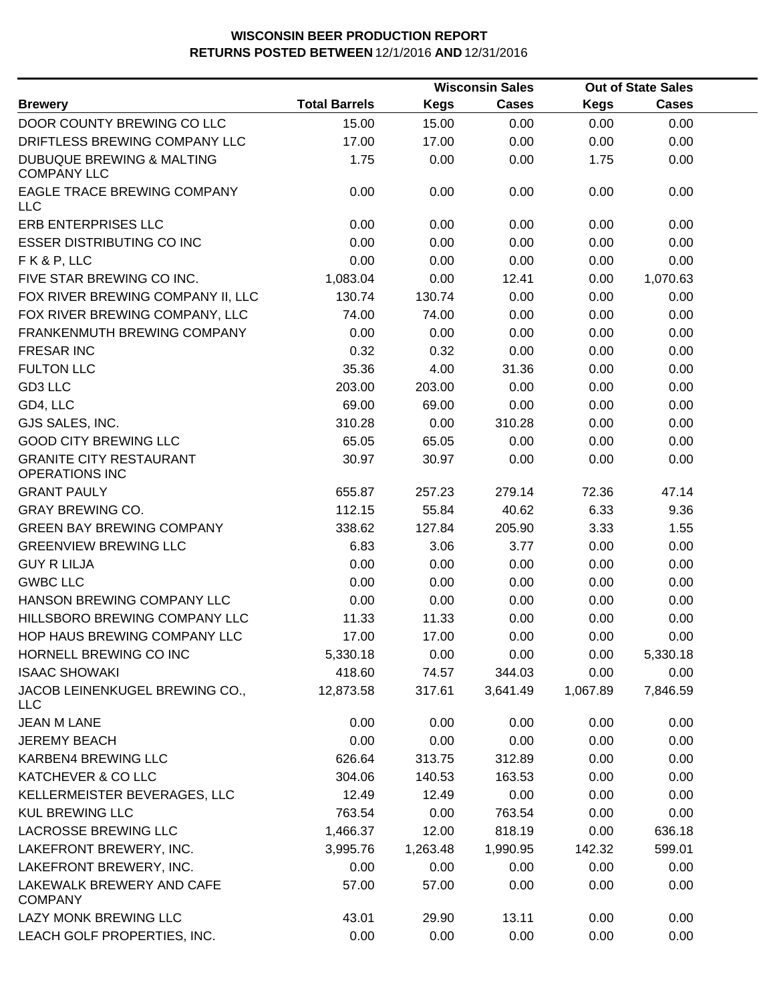|                                                            |                      |          | <b>Wisconsin Sales</b> |             | <b>Out of State Sales</b> |  |
|------------------------------------------------------------|----------------------|----------|------------------------|-------------|---------------------------|--|
| <b>Brewery</b>                                             | <b>Total Barrels</b> | Kegs     | Cases                  | <b>Kegs</b> | Cases                     |  |
| DOOR COUNTY BREWING CO LLC                                 | 15.00                | 15.00    | 0.00                   | 0.00        | 0.00                      |  |
| DRIFTLESS BREWING COMPANY LLC                              | 17.00                | 17.00    | 0.00                   | 0.00        | 0.00                      |  |
| <b>DUBUQUE BREWING &amp; MALTING</b><br><b>COMPANY LLC</b> | 1.75                 | 0.00     | 0.00                   | 1.75        | 0.00                      |  |
| EAGLE TRACE BREWING COMPANY<br><b>LLC</b>                  | 0.00                 | 0.00     | 0.00                   | 0.00        | 0.00                      |  |
| <b>ERB ENTERPRISES LLC</b>                                 | 0.00                 | 0.00     | 0.00                   | 0.00        | 0.00                      |  |
| <b>ESSER DISTRIBUTING CO INC</b>                           | 0.00                 | 0.00     | 0.00                   | 0.00        | 0.00                      |  |
| FK&P, LLC                                                  | 0.00                 | 0.00     | 0.00                   | 0.00        | 0.00                      |  |
| FIVE STAR BREWING CO INC.                                  | 1,083.04             | 0.00     | 12.41                  | 0.00        | 1,070.63                  |  |
| FOX RIVER BREWING COMPANY II, LLC                          | 130.74               | 130.74   | 0.00                   | 0.00        | 0.00                      |  |
| FOX RIVER BREWING COMPANY, LLC                             | 74.00                | 74.00    | 0.00                   | 0.00        | 0.00                      |  |
| FRANKENMUTH BREWING COMPANY                                | 0.00                 | 0.00     | 0.00                   | 0.00        | 0.00                      |  |
| <b>FRESAR INC</b>                                          | 0.32                 | 0.32     | 0.00                   | 0.00        | 0.00                      |  |
| <b>FULTON LLC</b>                                          | 35.36                | 4.00     | 31.36                  | 0.00        | 0.00                      |  |
| GD3 LLC                                                    | 203.00               | 203.00   | 0.00                   | 0.00        | 0.00                      |  |
| GD4, LLC                                                   | 69.00                | 69.00    | 0.00                   | 0.00        | 0.00                      |  |
| GJS SALES, INC.                                            | 310.28               | 0.00     | 310.28                 | 0.00        | 0.00                      |  |
| <b>GOOD CITY BREWING LLC</b>                               | 65.05                | 65.05    | 0.00                   | 0.00        | 0.00                      |  |
| <b>GRANITE CITY RESTAURANT</b><br><b>OPERATIONS INC</b>    | 30.97                | 30.97    | 0.00                   | 0.00        | 0.00                      |  |
| <b>GRANT PAULY</b>                                         | 655.87               | 257.23   | 279.14                 | 72.36       | 47.14                     |  |
| <b>GRAY BREWING CO.</b>                                    | 112.15               | 55.84    | 40.62                  | 6.33        | 9.36                      |  |
| <b>GREEN BAY BREWING COMPANY</b>                           | 338.62               | 127.84   | 205.90                 | 3.33        | 1.55                      |  |
| <b>GREENVIEW BREWING LLC</b>                               | 6.83                 | 3.06     | 3.77                   | 0.00        | 0.00                      |  |
| <b>GUY R LILJA</b>                                         | 0.00                 | 0.00     | 0.00                   | 0.00        | 0.00                      |  |
| <b>GWBC LLC</b>                                            | 0.00                 | 0.00     | 0.00                   | 0.00        | 0.00                      |  |
| HANSON BREWING COMPANY LLC                                 | 0.00                 | 0.00     | 0.00                   | 0.00        | 0.00                      |  |
| HILLSBORO BREWING COMPANY LLC                              | 11.33                | 11.33    | 0.00                   | 0.00        | 0.00                      |  |
| HOP HAUS BREWING COMPANY LLC                               | 17.00                | 17.00    | 0.00                   | 0.00        | 0.00                      |  |
| HORNELL BREWING CO INC                                     | 5,330.18             | 0.00     | 0.00                   | 0.00        | 5,330.18                  |  |
| <b>ISAAC SHOWAKI</b>                                       | 418.60               | 74.57    | 344.03                 | 0.00        | 0.00                      |  |
| JACOB LEINENKUGEL BREWING CO.,<br><b>LLC</b>               | 12,873.58            | 317.61   | 3,641.49               | 1,067.89    | 7,846.59                  |  |
| <b>JEAN M LANE</b>                                         | 0.00                 | 0.00     | 0.00                   | 0.00        | 0.00                      |  |
| <b>JEREMY BEACH</b>                                        | 0.00                 | 0.00     | 0.00                   | 0.00        | 0.00                      |  |
| KARBEN4 BREWING LLC                                        | 626.64               | 313.75   | 312.89                 | 0.00        | 0.00                      |  |
| KATCHEVER & CO LLC                                         | 304.06               | 140.53   | 163.53                 | 0.00        | 0.00                      |  |
| KELLERMEISTER BEVERAGES, LLC                               | 12.49                | 12.49    | 0.00                   | 0.00        | 0.00                      |  |
| <b>KUL BREWING LLC</b>                                     | 763.54               | 0.00     | 763.54                 | 0.00        | 0.00                      |  |
| <b>LACROSSE BREWING LLC</b>                                | 1,466.37             | 12.00    | 818.19                 | 0.00        | 636.18                    |  |
| LAKEFRONT BREWERY, INC.                                    | 3,995.76             | 1,263.48 | 1,990.95               | 142.32      | 599.01                    |  |
| LAKEFRONT BREWERY, INC.                                    | 0.00                 | 0.00     | 0.00                   | 0.00        | 0.00                      |  |
| LAKEWALK BREWERY AND CAFE<br><b>COMPANY</b>                | 57.00                | 57.00    | 0.00                   | 0.00        | 0.00                      |  |
| LAZY MONK BREWING LLC                                      | 43.01                | 29.90    | 13.11                  | 0.00        | 0.00                      |  |
| LEACH GOLF PROPERTIES, INC.                                | 0.00                 | 0.00     | 0.00                   | 0.00        | 0.00                      |  |
|                                                            |                      |          |                        |             |                           |  |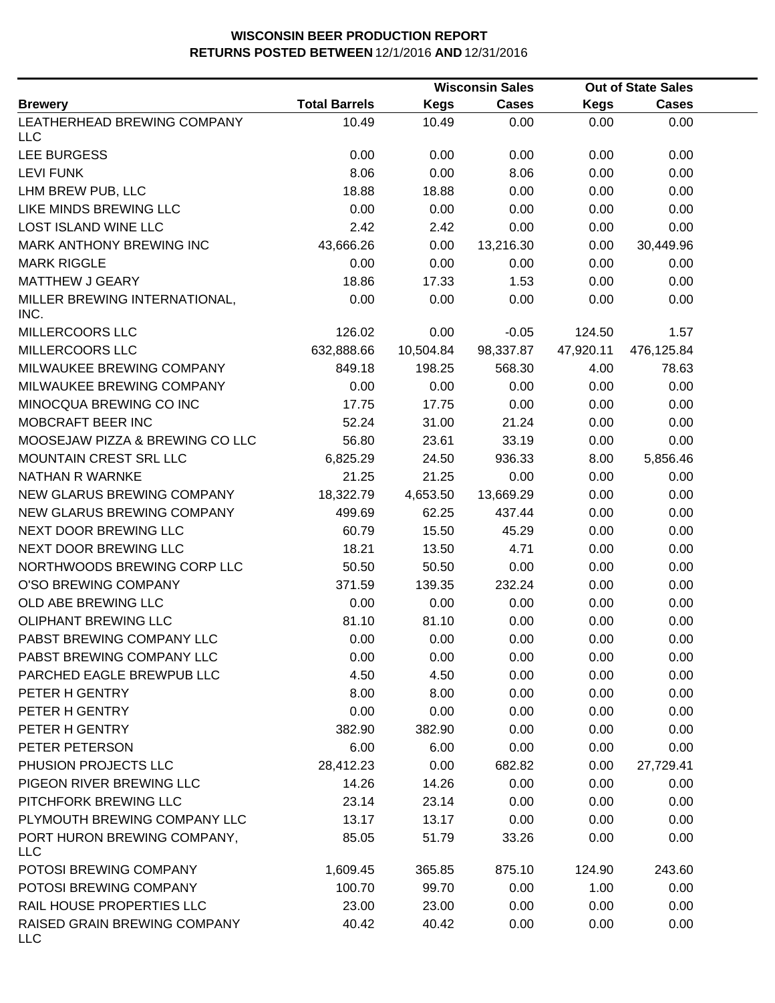|                                            |                      |             | <b>Wisconsin Sales</b> |             | <b>Out of State Sales</b> |  |
|--------------------------------------------|----------------------|-------------|------------------------|-------------|---------------------------|--|
| <b>Brewery</b>                             | <b>Total Barrels</b> | <b>Kegs</b> | <b>Cases</b>           | <b>Kegs</b> | <b>Cases</b>              |  |
| LEATHERHEAD BREWING COMPANY<br><b>LLC</b>  | 10.49                | 10.49       | 0.00                   | 0.00        | 0.00                      |  |
| LEE BURGESS                                | 0.00                 | 0.00        | 0.00                   | 0.00        | 0.00                      |  |
| <b>LEVI FUNK</b>                           | 8.06                 | 0.00        | 8.06                   | 0.00        | 0.00                      |  |
| LHM BREW PUB, LLC                          | 18.88                | 18.88       | 0.00                   | 0.00        | 0.00                      |  |
| LIKE MINDS BREWING LLC                     | 0.00                 | 0.00        | 0.00                   | 0.00        | 0.00                      |  |
| <b>LOST ISLAND WINE LLC</b>                | 2.42                 | 2.42        | 0.00                   | 0.00        | 0.00                      |  |
| MARK ANTHONY BREWING INC                   | 43,666.26            | 0.00        | 13,216.30              | 0.00        | 30,449.96                 |  |
| <b>MARK RIGGLE</b>                         | 0.00                 | 0.00        | 0.00                   | 0.00        | 0.00                      |  |
| <b>MATTHEW J GEARY</b>                     | 18.86                | 17.33       | 1.53                   | 0.00        | 0.00                      |  |
| MILLER BREWING INTERNATIONAL,<br>INC.      | 0.00                 | 0.00        | 0.00                   | 0.00        | 0.00                      |  |
| MILLERCOORS LLC                            | 126.02               | 0.00        | $-0.05$                | 124.50      | 1.57                      |  |
| MILLERCOORS LLC                            | 632,888.66           | 10,504.84   | 98,337.87              | 47,920.11   | 476,125.84                |  |
| MILWAUKEE BREWING COMPANY                  | 849.18               | 198.25      | 568.30                 | 4.00        | 78.63                     |  |
| MILWAUKEE BREWING COMPANY                  | 0.00                 | 0.00        | 0.00                   | 0.00        | 0.00                      |  |
| MINOCQUA BREWING CO INC                    | 17.75                | 17.75       | 0.00                   | 0.00        | 0.00                      |  |
| MOBCRAFT BEER INC                          | 52.24                | 31.00       | 21.24                  | 0.00        | 0.00                      |  |
| MOOSEJAW PIZZA & BREWING CO LLC            | 56.80                | 23.61       | 33.19                  | 0.00        | 0.00                      |  |
| MOUNTAIN CREST SRL LLC                     | 6,825.29             | 24.50       | 936.33                 | 8.00        | 5,856.46                  |  |
| NATHAN R WARNKE                            | 21.25                | 21.25       | 0.00                   | 0.00        | 0.00                      |  |
| NEW GLARUS BREWING COMPANY                 | 18,322.79            | 4,653.50    | 13,669.29              | 0.00        | 0.00                      |  |
| NEW GLARUS BREWING COMPANY                 | 499.69               | 62.25       | 437.44                 | 0.00        | 0.00                      |  |
| NEXT DOOR BREWING LLC                      | 60.79                | 15.50       | 45.29                  | 0.00        | 0.00                      |  |
| NEXT DOOR BREWING LLC                      | 18.21                | 13.50       | 4.71                   | 0.00        | 0.00                      |  |
| NORTHWOODS BREWING CORP LLC                | 50.50                | 50.50       | 0.00                   | 0.00        | 0.00                      |  |
| O'SO BREWING COMPANY                       | 371.59               | 139.35      | 232.24                 | 0.00        | 0.00                      |  |
| OLD ABE BREWING LLC                        | 0.00                 | 0.00        | 0.00                   | 0.00        | 0.00                      |  |
| <b>OLIPHANT BREWING LLC</b>                | 81.10                | 81.10       | 0.00                   | 0.00        | 0.00                      |  |
| PABST BREWING COMPANY LLC                  | 0.00                 | 0.00        | 0.00                   | 0.00        | 0.00                      |  |
| PABST BREWING COMPANY LLC                  | 0.00                 | 0.00        | 0.00                   | 0.00        | 0.00                      |  |
| PARCHED EAGLE BREWPUB LLC                  | 4.50                 | 4.50        | 0.00                   | 0.00        | 0.00                      |  |
| PETER H GENTRY                             | 8.00                 | 8.00        | 0.00                   | 0.00        | 0.00                      |  |
| PETER H GENTRY                             | 0.00                 | 0.00        | 0.00                   | 0.00        | 0.00                      |  |
| PETER H GENTRY                             | 382.90               | 382.90      | 0.00                   | 0.00        | 0.00                      |  |
| PETER PETERSON                             | 6.00                 | 6.00        | 0.00                   | 0.00        | 0.00                      |  |
| PHUSION PROJECTS LLC                       | 28,412.23            | 0.00        | 682.82                 | 0.00        | 27,729.41                 |  |
| PIGEON RIVER BREWING LLC                   | 14.26                | 14.26       | 0.00                   | 0.00        | 0.00                      |  |
| PITCHFORK BREWING LLC                      | 23.14                | 23.14       | 0.00                   | 0.00        | 0.00                      |  |
| PLYMOUTH BREWING COMPANY LLC               | 13.17                | 13.17       | 0.00                   | 0.00        | 0.00                      |  |
| PORT HURON BREWING COMPANY,<br><b>LLC</b>  | 85.05                | 51.79       | 33.26                  | 0.00        | 0.00                      |  |
| POTOSI BREWING COMPANY                     | 1,609.45             | 365.85      | 875.10                 | 124.90      | 243.60                    |  |
| POTOSI BREWING COMPANY                     | 100.70               | 99.70       | 0.00                   | 1.00        | 0.00                      |  |
| RAIL HOUSE PROPERTIES LLC                  | 23.00                | 23.00       | 0.00                   | 0.00        | 0.00                      |  |
| RAISED GRAIN BREWING COMPANY<br><b>LLC</b> | 40.42                | 40.42       | 0.00                   | 0.00        | 0.00                      |  |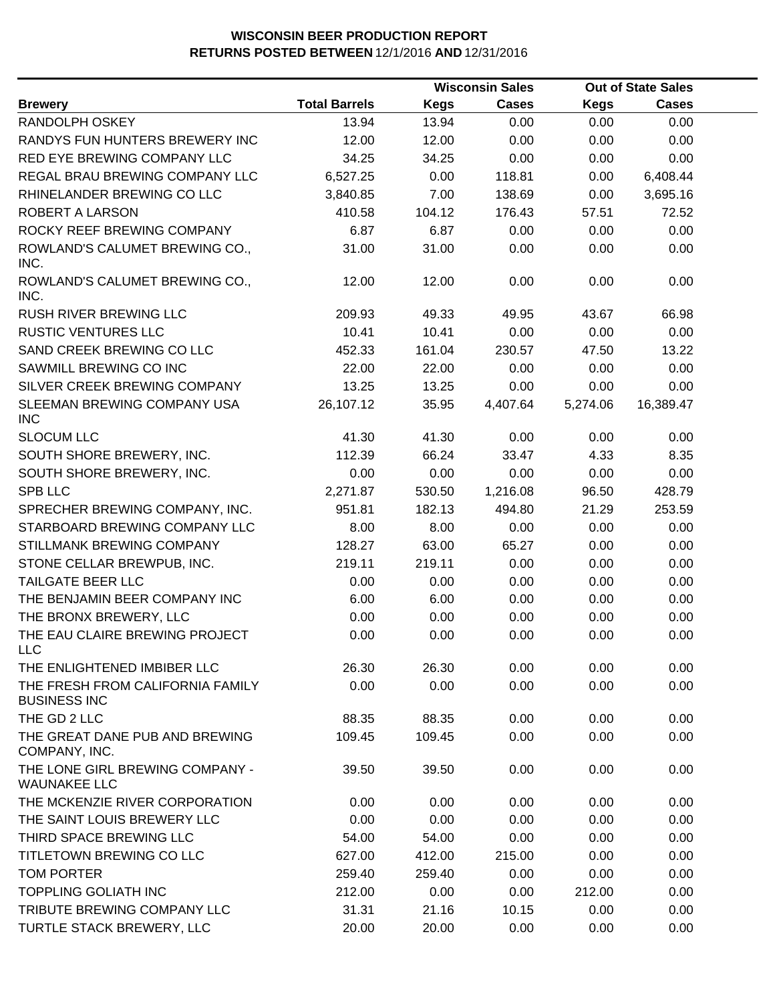|                                                         |                      |             | <b>Wisconsin Sales</b> |             | <b>Out of State Sales</b> |  |
|---------------------------------------------------------|----------------------|-------------|------------------------|-------------|---------------------------|--|
| <b>Brewery</b>                                          | <b>Total Barrels</b> | <b>Kegs</b> | <b>Cases</b>           | <b>Kegs</b> | <b>Cases</b>              |  |
| RANDOLPH OSKEY                                          | 13.94                | 13.94       | 0.00                   | 0.00        | 0.00                      |  |
| RANDYS FUN HUNTERS BREWERY INC                          | 12.00                | 12.00       | 0.00                   | 0.00        | 0.00                      |  |
| RED EYE BREWING COMPANY LLC                             | 34.25                | 34.25       | 0.00                   | 0.00        | 0.00                      |  |
| REGAL BRAU BREWING COMPANY LLC                          | 6,527.25             | 0.00        | 118.81                 | 0.00        | 6,408.44                  |  |
| RHINELANDER BREWING CO LLC                              | 3,840.85             | 7.00        | 138.69                 | 0.00        | 3,695.16                  |  |
| ROBERT A LARSON                                         | 410.58               | 104.12      | 176.43                 | 57.51       | 72.52                     |  |
| ROCKY REEF BREWING COMPANY                              | 6.87                 | 6.87        | 0.00                   | 0.00        | 0.00                      |  |
| ROWLAND'S CALUMET BREWING CO.,<br>INC.                  | 31.00                | 31.00       | 0.00                   | 0.00        | 0.00                      |  |
| ROWLAND'S CALUMET BREWING CO.,<br>INC.                  | 12.00                | 12.00       | 0.00                   | 0.00        | 0.00                      |  |
| <b>RUSH RIVER BREWING LLC</b>                           | 209.93               | 49.33       | 49.95                  | 43.67       | 66.98                     |  |
| <b>RUSTIC VENTURES LLC</b>                              | 10.41                | 10.41       | 0.00                   | 0.00        | 0.00                      |  |
| SAND CREEK BREWING CO LLC                               | 452.33               | 161.04      | 230.57                 | 47.50       | 13.22                     |  |
| SAWMILL BREWING CO INC                                  | 22.00                | 22.00       | 0.00                   | 0.00        | 0.00                      |  |
| SILVER CREEK BREWING COMPANY                            | 13.25                | 13.25       | 0.00                   | 0.00        | 0.00                      |  |
| SLEEMAN BREWING COMPANY USA<br><b>INC</b>               | 26,107.12            | 35.95       | 4,407.64               | 5,274.06    | 16,389.47                 |  |
| <b>SLOCUM LLC</b>                                       | 41.30                | 41.30       | 0.00                   | 0.00        | 0.00                      |  |
| SOUTH SHORE BREWERY, INC.                               | 112.39               | 66.24       | 33.47                  | 4.33        | 8.35                      |  |
| SOUTH SHORE BREWERY, INC.                               | 0.00                 | 0.00        | 0.00                   | 0.00        | 0.00                      |  |
| <b>SPB LLC</b>                                          | 2,271.87             | 530.50      | 1,216.08               | 96.50       | 428.79                    |  |
| SPRECHER BREWING COMPANY, INC.                          | 951.81               | 182.13      | 494.80                 | 21.29       | 253.59                    |  |
| STARBOARD BREWING COMPANY LLC                           | 8.00                 | 8.00        | 0.00                   | 0.00        | 0.00                      |  |
| STILLMANK BREWING COMPANY                               | 128.27               | 63.00       | 65.27                  | 0.00        | 0.00                      |  |
| STONE CELLAR BREWPUB, INC.                              | 219.11               | 219.11      | 0.00                   | 0.00        | 0.00                      |  |
| <b>TAILGATE BEER LLC</b>                                | 0.00                 | 0.00        | 0.00                   | 0.00        | 0.00                      |  |
| THE BENJAMIN BEER COMPANY INC                           | 6.00                 | 6.00        | 0.00                   | 0.00        | 0.00                      |  |
| THE BRONX BREWERY, LLC                                  | 0.00                 | 0.00        | 0.00                   | 0.00        | 0.00                      |  |
| THE EAU CLAIRE BREWING PROJECT<br><b>LLC</b>            | 0.00                 | 0.00        | 0.00                   | 0.00        | 0.00                      |  |
| THE ENLIGHTENED IMBIBER LLC                             | 26.30                | 26.30       | 0.00                   | 0.00        | 0.00                      |  |
| THE FRESH FROM CALIFORNIA FAMILY<br><b>BUSINESS INC</b> | 0.00                 | 0.00        | 0.00                   | 0.00        | 0.00                      |  |
| THE GD 2 LLC                                            | 88.35                | 88.35       | 0.00                   | 0.00        | 0.00                      |  |
| THE GREAT DANE PUB AND BREWING<br>COMPANY, INC.         | 109.45               | 109.45      | 0.00                   | 0.00        | 0.00                      |  |
| THE LONE GIRL BREWING COMPANY -<br><b>WAUNAKEE LLC</b>  | 39.50                | 39.50       | 0.00                   | 0.00        | 0.00                      |  |
| THE MCKENZIE RIVER CORPORATION                          | 0.00                 | 0.00        | 0.00                   | 0.00        | 0.00                      |  |
| THE SAINT LOUIS BREWERY LLC                             | 0.00                 | 0.00        | 0.00                   | 0.00        | 0.00                      |  |
| THIRD SPACE BREWING LLC                                 | 54.00                | 54.00       | 0.00                   | 0.00        | 0.00                      |  |
| TITLETOWN BREWING CO LLC                                | 627.00               | 412.00      | 215.00                 | 0.00        | 0.00                      |  |
| <b>TOM PORTER</b>                                       | 259.40               | 259.40      | 0.00                   | 0.00        | 0.00                      |  |
| <b>TOPPLING GOLIATH INC</b>                             | 212.00               | 0.00        | 0.00                   | 212.00      | 0.00                      |  |
| TRIBUTE BREWING COMPANY LLC                             | 31.31                | 21.16       | 10.15                  | 0.00        | 0.00                      |  |
| TURTLE STACK BREWERY, LLC                               | 20.00                | 20.00       | 0.00                   | 0.00        | 0.00                      |  |
|                                                         |                      |             |                        |             |                           |  |